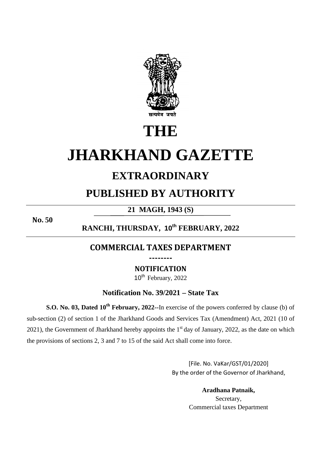

# **THE**

# **JHARKHAND GAZETTE**

## **EXTRAORDINARY**

### **PUBLISHED BY AUTHORITY**

**21 MAGH, 1943 (S)** 

**No. 50**

#### **RANCHI, THURSDAY, 10th FEBRUARY, 2022**

#### **COMMERCIAL TAXES DEPARTMENT --------**

**NOTIFICATION** 

10<sup>th</sup> February, 2022

#### **Notification No. 39/2021 – State Tax**

**S.O. No. 03, Dated 10th February, 2022--**In exercise of the powers conferred by clause (b) of sub-section (2) of section 1 of the Jharkhand Goods and Services Tax (Amendment) Act, 2021 (10 of 2021), the Government of Jharkhand hereby appoints the  $1<sup>st</sup>$  day of January, 2022, as the date on which the provisions of sections 2, 3 and 7 to 15 of the said Act shall come into force.

> [File. No. VaKar/GST/01/2020] By the order of the Governor of Jharkhand,

> > **Aradhana Patnaik,**  Secretary, Commercial taxes Department